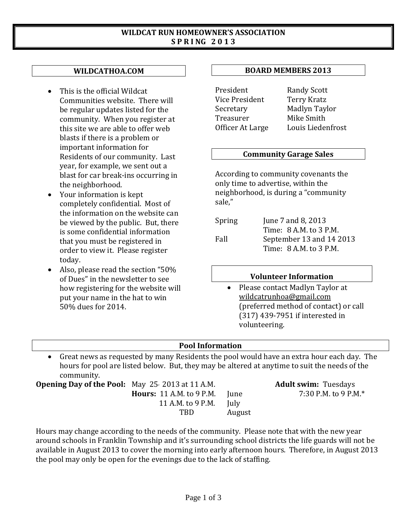#### **WILDCAT RUN HOMEOWNER'S ASSOCIATION S P R I NG 2 0 1 3**

## **WILDCATHOA.COM**

- This is the official Wildcat Communities website. There will be regular updates listed for the community. When you register at this site we are able to offer web blasts if there is a problem or important information for Residents of our community. Last year, for example, we sent out a blast for car break-ins occurring in the neighborhood.
- Your information is kept completely confidential. Most of the information on the website can be viewed by the public. But, there is some confidential information that you must be registered in order to view it. Please register today.
- Also, please read the section "50% of Dues" in the newsletter to see how registering for the website will put your name in the hat to win 50% dues for 2014.

#### **BOARD MEMBERS 2013**

President Randy Scott<br>Vice President Terry Kratz Vice President<br>Secretary Officer At Large

Secretary Madlyn Taylor Mike Smith<br>Louis Liedenfrost

#### **Community Garage Sales**

According to community covenants the only time to advertise, within the neighborhood, is during a "community sale,"

| Spring | June 7 and 8, 2013       |  |  |  |  |
|--------|--------------------------|--|--|--|--|
|        | Time: 8 A.M. to 3 P.M.   |  |  |  |  |
| Fall   | September 13 and 14 2013 |  |  |  |  |
|        | Time: 8 A.M. to 3 P.M.   |  |  |  |  |

## **Volunteer Information**

• Please contact Madlyn Taylor at [wildcatrunhoa@gmail.com](mailto:wildcatrunhoa@gmail.com) (preferred method of contact) or call (317) 439-7951 if interested in volunteering.

## **Pool Information**

• Great news as requested by many Residents the pool would have an extra hour each day. The hours for pool are listed below. But, they may be altered at anytime to suit the needs of the community.

**Opening Day of the Pool:** May 25 2013 at 11 A.M. **Adult swim:** Tuesdays **Hours:** 11 A.M. to 9 P.M. **Adult swim:** Tuesdays **Hours:** 11 A.M. to 9 P.M. **Adult swim:** Tuesdays **Hours:** 11 A.M. to 9 P.M. June 11 A.M. to 9 P.M. **July** 11 A.M. to 9 P.M.<br>TRD August

Hours may change according to the needs of the community. Please note that with the new year around schools in Franklin Township and it's surrounding school districts the life guards will not be available in August 2013 to cover the morning into early afternoon hours. Therefore, in August 2013 the pool may only be open for the evenings due to the lack of staffing.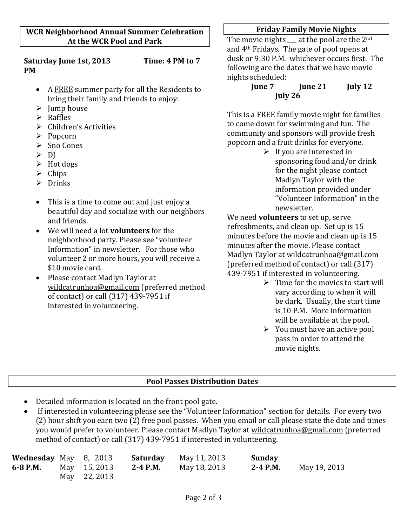**Saturday June 1st, 2013 Time: 4 PM to 7 PM**

- A FREE summer party for all the Residents to bring their family and friends to enjoy:
- $\triangleright$  Jump house
- $\triangleright$  Raffles
- Children's Activities
- $\triangleright$  Popcorn
- **►** Sno Cones
- $> D I$
- $\triangleright$  Hot dogs
- $\triangleright$  Chips
- $\triangleright$  Drinks
- This is a time to come out and just enjoy a beautiful day and socialize with our neighbors and friends.
- We will need a lot **volunteers** for the neighborhood party. Please see "volunteer Information" in newsletter. For those who volunteer 2 or more hours, you will receive a \$10 movie card.
- Please contact Madlyn Taylor at [wildcatrunhoa@gmail.com](mailto:wildcatrunhoa@gmail.com) (preferred method of contact) or call (317) 439-7951 if interested in volunteering.

## **Friday Family Movie Nights**

The movie nights  $\qquad$  at the pool are the 2<sup>nd</sup> and 4th Fridays. The gate of pool opens at dusk or 9:30 P.M. whichever occurs first. The following are the dates that we have movie nights scheduled:<br>**Iune 7** 

# **June 7 June 21 July 12 July 26**

This is a FREE family movie night for families to come down for swimming and fun. The community and sponsors will provide fresh popcorn and a fruit drinks for everyone.

 $\triangleright$  If you are interested in sponsoring food and/or drink for the night please contact Madlyn Taylor with the information provided under "Volunteer Information" in the newsletter.

We need **volunteers** to set up, serve refreshments, and clean up. Set up is 15 minutes before the movie and clean up is 15 minutes after the movie. Please contact Madlyn Taylor at [wildcatrunhoa@gmail.com](mailto:wildcatrunhoa@gmail.com) (preferred method of contact) or call (317) 439-7951 if interested in volunteering.

- $\triangleright$  Time for the movies to start will vary according to when it will be dark. Usually, the start time is 10 P.M. More information will be available at the pool.
- $\triangleright$  You must have an active pool pass in order to attend the movie nights.

# **Pool Passes Distribution Dates**

- Detailed information is located on the front pool gate.
- If interested in volunteering please see the "Volunteer Information" section for details. For every two (2) hour shift you earn two (2) free pool passes. When you email or call please state the date and times you would prefer to volunteer. Please contact Madlyn Taylor at [wildcatrunhoa@gmail.com](mailto:wildcatrunhoa@gmail.com) (preferred method of contact) or call (317) 439-7951 if interested in volunteering.

| <b>Wednesday</b> May 8, 2013 |              | Saturday | May 11, 2013 | Sunday   |              |
|------------------------------|--------------|----------|--------------|----------|--------------|
| 6-8 P.M.                     | May 15, 2013 | 2-4 P.M. | May 18, 2013 | 2-4 P.M. | May 19, 2013 |
|                              | May 22, 2013 |          |              |          |              |